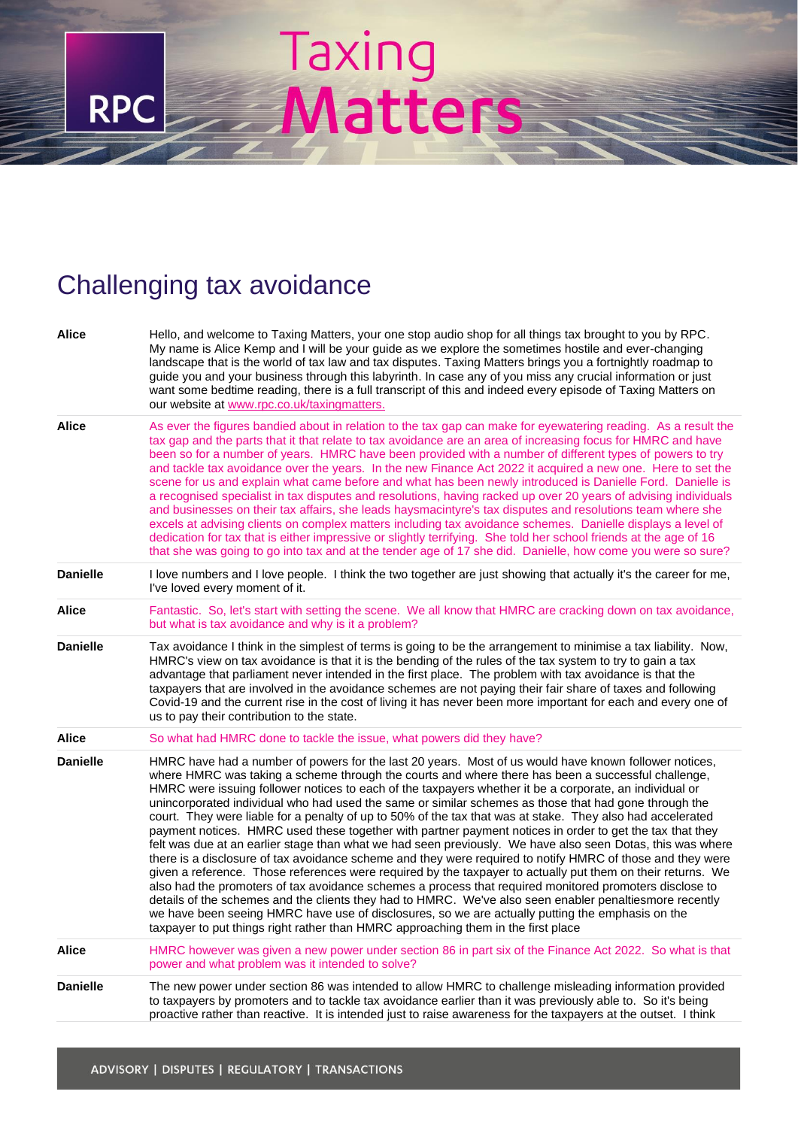## Taxing<br>Matters

## Challenging tax avoidance

**RPC** 

| Alice           | Hello, and welcome to Taxing Matters, your one stop audio shop for all things tax brought to you by RPC.<br>My name is Alice Kemp and I will be your guide as we explore the sometimes hostile and ever-changing<br>landscape that is the world of tax law and tax disputes. Taxing Matters brings you a fortnightly roadmap to<br>guide you and your business through this labyrinth. In case any of you miss any crucial information or just<br>want some bedtime reading, there is a full transcript of this and indeed every episode of Taxing Matters on<br>our website at www.rpc.co.uk/taxingmatters.                                                                                                                                                                                                                                                                                                                                                                                                                                                                                                                                                                                                                                                                                                                                                                                                        |
|-----------------|---------------------------------------------------------------------------------------------------------------------------------------------------------------------------------------------------------------------------------------------------------------------------------------------------------------------------------------------------------------------------------------------------------------------------------------------------------------------------------------------------------------------------------------------------------------------------------------------------------------------------------------------------------------------------------------------------------------------------------------------------------------------------------------------------------------------------------------------------------------------------------------------------------------------------------------------------------------------------------------------------------------------------------------------------------------------------------------------------------------------------------------------------------------------------------------------------------------------------------------------------------------------------------------------------------------------------------------------------------------------------------------------------------------------|
| Alice           | As ever the figures bandied about in relation to the tax gap can make for eyewatering reading. As a result the<br>tax gap and the parts that it that relate to tax avoidance are an area of increasing focus for HMRC and have<br>been so for a number of years. HMRC have been provided with a number of different types of powers to try<br>and tackle tax avoidance over the years. In the new Finance Act 2022 it acquired a new one. Here to set the<br>scene for us and explain what came before and what has been newly introduced is Danielle Ford. Danielle is<br>a recognised specialist in tax disputes and resolutions, having racked up over 20 years of advising individuals<br>and businesses on their tax affairs, she leads haysmacintyre's tax disputes and resolutions team where she<br>excels at advising clients on complex matters including tax avoidance schemes. Danielle displays a level of<br>dedication for tax that is either impressive or slightly terrifying. She told her school friends at the age of 16<br>that she was going to go into tax and at the tender age of 17 she did. Danielle, how come you were so sure?                                                                                                                                                                                                                                                         |
| <b>Danielle</b> | I love numbers and I love people. I think the two together are just showing that actually it's the career for me,<br>I've loved every moment of it.                                                                                                                                                                                                                                                                                                                                                                                                                                                                                                                                                                                                                                                                                                                                                                                                                                                                                                                                                                                                                                                                                                                                                                                                                                                                 |
| Alice           | Fantastic. So, let's start with setting the scene. We all know that HMRC are cracking down on tax avoidance,<br>but what is tax avoidance and why is it a problem?                                                                                                                                                                                                                                                                                                                                                                                                                                                                                                                                                                                                                                                                                                                                                                                                                                                                                                                                                                                                                                                                                                                                                                                                                                                  |
| <b>Danielle</b> | Tax avoidance I think in the simplest of terms is going to be the arrangement to minimise a tax liability. Now,<br>HMRC's view on tax avoidance is that it is the bending of the rules of the tax system to try to gain a tax<br>advantage that parliament never intended in the first place. The problem with tax avoidance is that the<br>taxpayers that are involved in the avoidance schemes are not paying their fair share of taxes and following<br>Covid-19 and the current rise in the cost of living it has never been more important for each and every one of<br>us to pay their contribution to the state.                                                                                                                                                                                                                                                                                                                                                                                                                                                                                                                                                                                                                                                                                                                                                                                             |
| Alice           | So what had HMRC done to tackle the issue, what powers did they have?                                                                                                                                                                                                                                                                                                                                                                                                                                                                                                                                                                                                                                                                                                                                                                                                                                                                                                                                                                                                                                                                                                                                                                                                                                                                                                                                               |
| <b>Danielle</b> | HMRC have had a number of powers for the last 20 years. Most of us would have known follower notices,<br>where HMRC was taking a scheme through the courts and where there has been a successful challenge,<br>HMRC were issuing follower notices to each of the taxpayers whether it be a corporate, an individual or<br>unincorporated individual who had used the same or similar schemes as those that had gone through the<br>court. They were liable for a penalty of up to 50% of the tax that was at stake. They also had accelerated<br>payment notices. HMRC used these together with partner payment notices in order to get the tax that they<br>felt was due at an earlier stage than what we had seen previously. We have also seen Dotas, this was where<br>there is a disclosure of tax avoidance scheme and they were required to notify HMRC of those and they were<br>given a reference. Those references were required by the taxpayer to actually put them on their returns. We<br>also had the promoters of tax avoidance schemes a process that required monitored promoters disclose to<br>details of the schemes and the clients they had to HMRC. We've also seen enabler penaltiesmore recently<br>we have been seeing HMRC have use of disclosures, so we are actually putting the emphasis on the<br>taxpayer to put things right rather than HMRC approaching them in the first place |
| Alice           | HMRC however was given a new power under section 86 in part six of the Finance Act 2022. So what is that<br>power and what problem was it intended to solve?                                                                                                                                                                                                                                                                                                                                                                                                                                                                                                                                                                                                                                                                                                                                                                                                                                                                                                                                                                                                                                                                                                                                                                                                                                                        |
| <b>Danielle</b> | The new power under section 86 was intended to allow HMRC to challenge misleading information provided<br>to taxpayers by promoters and to tackle tax avoidance earlier than it was previously able to. So it's being<br>proactive rather than reactive. It is intended just to raise awareness for the taxpayers at the outset. I think                                                                                                                                                                                                                                                                                                                                                                                                                                                                                                                                                                                                                                                                                                                                                                                                                                                                                                                                                                                                                                                                            |
|                 |                                                                                                                                                                                                                                                                                                                                                                                                                                                                                                                                                                                                                                                                                                                                                                                                                                                                                                                                                                                                                                                                                                                                                                                                                                                                                                                                                                                                                     |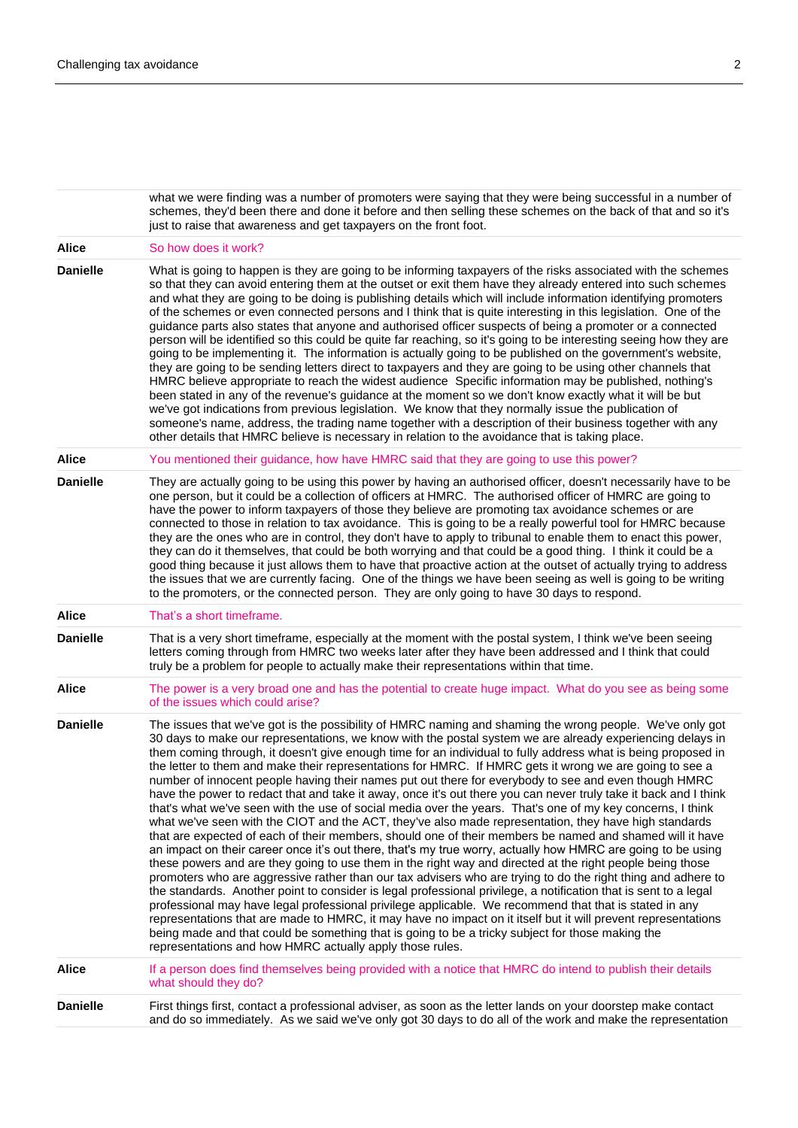what we were finding was a number of promoters were saying that they were being successful in a number of schemes, they'd been there and done it before and then selling these schemes on the back of that and so it's just to raise that awareness and get taxpayers on the front foot. Alice So how does it work? **Danielle** What is going to happen is they are going to be informing taxpayers of the risks associated with the schemes so that they can avoid entering them at the outset or exit them have they already entered into such schemes and what they are going to be doing is publishing details which will include information identifying promoters of the schemes or even connected persons and I think that is quite interesting in this legislation. One of the guidance parts also states that anyone and authorised officer suspects of being a promoter or a connected person will be identified so this could be quite far reaching, so it's going to be interesting seeing how they are going to be implementing it. The information is actually going to be published on the government's website, they are going to be sending letters direct to taxpayers and they are going to be using other channels that HMRC believe appropriate to reach the widest audience Specific information may be published, nothing's been stated in any of the revenue's guidance at the moment so we don't know exactly what it will be but we've got indications from previous legislation. We know that they normally issue the publication of someone's name, address, the trading name together with a description of their business together with any other details that HMRC believe is necessary in relation to the avoidance that is taking place. **Alice** You mentioned their guidance, how have HMRC said that they are going to use this power? **Danielle** They are actually going to be using this power by having an authorised officer, doesn't necessarily have to be one person, but it could be a collection of officers at HMRC. The authorised officer of HMRC are going to have the power to inform taxpayers of those they believe are promoting tax avoidance schemes or are connected to those in relation to tax avoidance. This is going to be a really powerful tool for HMRC because they are the ones who are in control, they don't have to apply to tribunal to enable them to enact this power, they can do it themselves, that could be both worrying and that could be a good thing. I think it could be a good thing because it just allows them to have that proactive action at the outset of actually trying to address the issues that we are currently facing. One of the things we have been seeing as well is going to be writing to the promoters, or the connected person. They are only going to have 30 days to respond. **Alice** That's a short timeframe. **Danielle** That is a very short timeframe, especially at the moment with the postal system, I think we've been seeing letters coming through from HMRC two weeks later after they have been addressed and I think that could truly be a problem for people to actually make their representations within that time. **Alice** The power is a very broad one and has the potential to create huge impact. What do you see as being some of the issues which could arise? **Danielle** The issues that we've got is the possibility of HMRC naming and shaming the wrong people. We've only got 30 days to make our representations, we know with the postal system we are already experiencing delays in them coming through, it doesn't give enough time for an individual to fully address what is being proposed in the letter to them and make their representations for HMRC. If HMRC gets it wrong we are going to see a number of innocent people having their names put out there for everybody to see and even though HMRC have the power to redact that and take it away, once it's out there you can never truly take it back and I think that's what we've seen with the use of social media over the years. That's one of my key concerns, I think what we've seen with the CIOT and the ACT, they've also made representation, they have high standards that are expected of each of their members, should one of their members be named and shamed will it have an impact on their career once it's out there, that's my true worry, actually how HMRC are going to be using these powers and are they going to use them in the right way and directed at the right people being those promoters who are aggressive rather than our tax advisers who are trying to do the right thing and adhere to the standards. Another point to consider is legal professional privilege, a notification that is sent to a legal professional may have legal professional privilege applicable. We recommend that that is stated in any representations that are made to HMRC, it may have no impact on it itself but it will prevent representations being made and that could be something that is going to be a tricky subject for those making the representations and how HMRC actually apply those rules. **Alice** If a person does find themselves being provided with a notice that HMRC do intend to publish their details what should they do? **Danielle** First things first, contact a professional adviser, as soon as the letter lands on your doorstep make contact and do so immediately. As we said we've only got 30 days to do all of the work and make the representation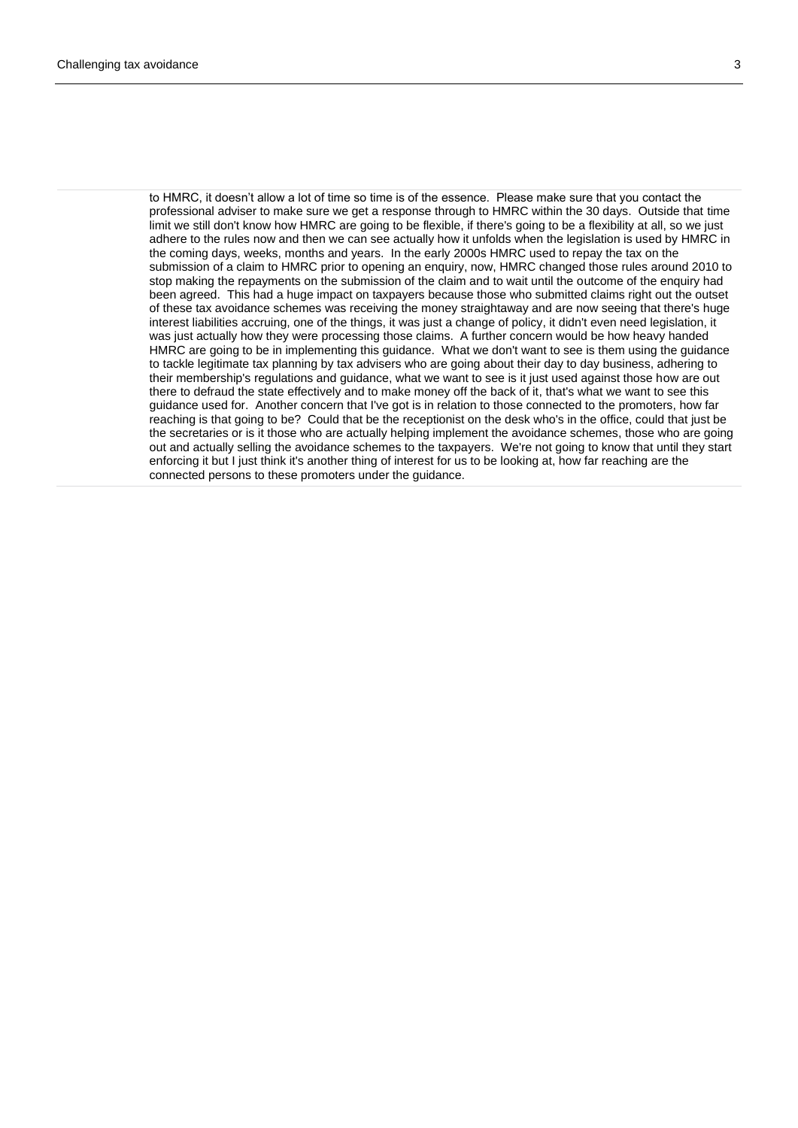to HMRC, it doesn't allow a lot of time so time is of the essence. Please make sure that you contact the professional adviser to make sure we get a response through to HMRC within the 30 days. Outside that time limit we still don't know how HMRC are going to be flexible, if there's going to be a flexibility at all, so we just adhere to the rules now and then we can see actually how it unfolds when the legislation is used by HMRC in the coming days, weeks, months and years. In the early 2000s HMRC used to repay the tax on the submission of a claim to HMRC prior to opening an enquiry, now, HMRC changed those rules around 2010 to stop making the repayments on the submission of the claim and to wait until the outcome of the enquiry had been agreed. This had a huge impact on taxpayers because those who submitted claims right out the outset of these tax avoidance schemes was receiving the money straightaway and are now seeing that there's huge interest liabilities accruing, one of the things, it was just a change of policy, it didn't even need legislation, it was just actually how they were processing those claims. A further concern would be how heavy handed HMRC are going to be in implementing this guidance. What we don't want to see is them using the guidance to tackle legitimate tax planning by tax advisers who are going about their day to day business, adhering to their membership's regulations and guidance, what we want to see is it just used against those how are out there to defraud the state effectively and to make money off the back of it, that's what we want to see this guidance used for. Another concern that I've got is in relation to those connected to the promoters, how far reaching is that going to be? Could that be the receptionist on the desk who's in the office, could that just be the secretaries or is it those who are actually helping implement the avoidance schemes, those who are going out and actually selling the avoidance schemes to the taxpayers. We're not going to know that until they start enforcing it but I just think it's another thing of interest for us to be looking at, how far reaching are the connected persons to these promoters under the guidance.